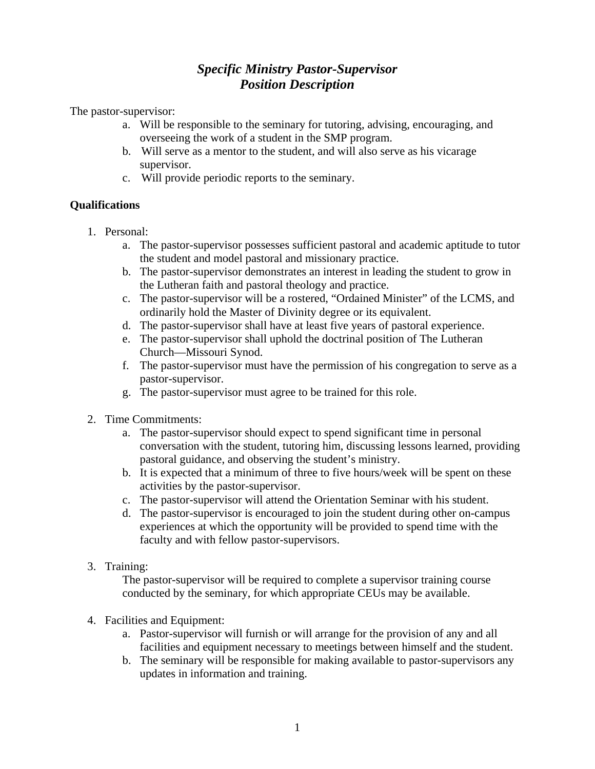# *Specific Ministry Pastor-Supervisor Position Description*

The pastor-supervisor:

- a. Will be responsible to the seminary for tutoring, advising, encouraging, and overseeing the work of a student in the SMP program.
- b. Will serve as a mentor to the student, and will also serve as his vicarage supervisor.
- c. Will provide periodic reports to the seminary.

## **Qualifications**

- 1. Personal:
	- a. The pastor-supervisor possesses sufficient pastoral and academic aptitude to tutor the student and model pastoral and missionary practice.
	- b. The pastor-supervisor demonstrates an interest in leading the student to grow in the Lutheran faith and pastoral theology and practice.
	- c. The pastor-supervisor will be a rostered, "Ordained Minister" of the LCMS, and ordinarily hold the Master of Divinity degree or its equivalent.
	- d. The pastor-supervisor shall have at least five years of pastoral experience.
	- e. The pastor-supervisor shall uphold the doctrinal position of The Lutheran Church—Missouri Synod.
	- f. The pastor-supervisor must have the permission of his congregation to serve as a pastor-supervisor.
	- g. The pastor-supervisor must agree to be trained for this role.
- 2. Time Commitments:
	- a. The pastor-supervisor should expect to spend significant time in personal conversation with the student, tutoring him, discussing lessons learned, providing pastoral guidance, and observing the student's ministry.
	- b. It is expected that a minimum of three to five hours/week will be spent on these activities by the pastor-supervisor.
	- c. The pastor-supervisor will attend the Orientation Seminar with his student.
	- d. The pastor-supervisor is encouraged to join the student during other on-campus experiences at which the opportunity will be provided to spend time with the faculty and with fellow pastor-supervisors.
- 3. Training:

The pastor-supervisor will be required to complete a supervisor training course conducted by the seminary, for which appropriate CEUs may be available.

- 4. Facilities and Equipment:
	- a. Pastor-supervisor will furnish or will arrange for the provision of any and all facilities and equipment necessary to meetings between himself and the student.
	- b. The seminary will be responsible for making available to pastor-supervisors any updates in information and training.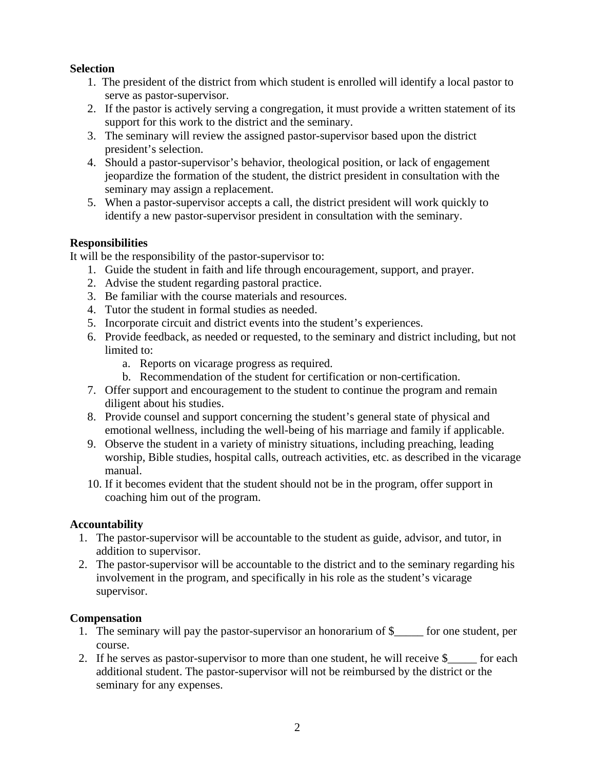## **Selection**

- 1. The president of the district from which student is enrolled will identify a local pastor to serve as pastor-supervisor.
- 2. If the pastor is actively serving a congregation, it must provide a written statement of its support for this work to the district and the seminary.
- 3. The seminary will review the assigned pastor-supervisor based upon the district president's selection.
- 4. Should a pastor-supervisor's behavior, theological position, or lack of engagement jeopardize the formation of the student, the district president in consultation with the seminary may assign a replacement.
- 5. When a pastor-supervisor accepts a call, the district president will work quickly to identify a new pastor-supervisor president in consultation with the seminary.

#### **Responsibilities**

It will be the responsibility of the pastor-supervisor to:

- 1. Guide the student in faith and life through encouragement, support, and prayer.
- 2. Advise the student regarding pastoral practice.
- 3. Be familiar with the course materials and resources.
- 4. Tutor the student in formal studies as needed.
- 5. Incorporate circuit and district events into the student's experiences.
- 6. Provide feedback, as needed or requested, to the seminary and district including, but not limited to:
	- a. Reports on vicarage progress as required.
	- b. Recommendation of the student for certification or non-certification.
- 7. Offer support and encouragement to the student to continue the program and remain diligent about his studies.
- 8. Provide counsel and support concerning the student's general state of physical and emotional wellness, including the well-being of his marriage and family if applicable.
- 9. Observe the student in a variety of ministry situations, including preaching, leading worship, Bible studies, hospital calls, outreach activities*,* etc. as described in the vicarage manual.
- 10. If it becomes evident that the student should not be in the program, offer support in coaching him out of the program.

## **Accountability**

- 1. The pastor-supervisor will be accountable to the student as guide, advisor, and tutor, in addition to supervisor.
- 2. The pastor-supervisor will be accountable to the district and to the seminary regarding his involvement in the program, and specifically in his role as the student's vicarage supervisor.

## **Compensation**

- 1. The seminary will pay the pastor-supervisor an honorarium of  $\frac{1}{2}$  for one student, per course.
- 2. If he serves as pastor-supervisor to more than one student, he will receive  $\frac{1}{2}$  for each additional student. The pastor-supervisor will not be reimbursed by the district or the seminary for any expenses.